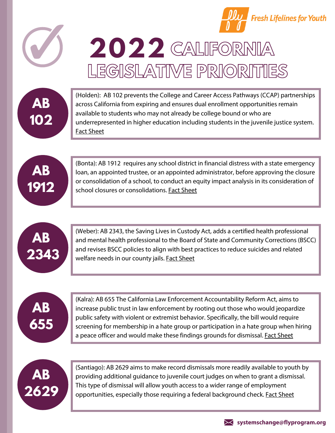







(Holden): AB 102 prevents the College and Career Access Pathways (CCAP) partnerships across California from expiring and ensures dual enrollment opportunities remain available to students who may not already be college bound or who are underrepresented in higher education including students in the juvenile justice system. Fact [Sheet](https://drive.google.com/file/d/1s4QvOLCRSO3cyEg6FFPrXSccnJ5c4h71/view?usp=sharing)



(Bonta): AB 1912 requires any school district in financial distress with a state emergency loan, an appointed trustee, or an appointed administrator, before approving the closure or consolidation of a school, to conduct an equity impact analysis in its consideration of school closures or consolidations. Fact [Sheet](https://drive.google.com/file/d/1nmRVjN6_F5ejCZhS5nOx77fbuuqnXIap/view?usp=sharing)



**OPERATION** (Weber): AB 2343, the Saving Lives in Custody Act, adds a certified health professional and mental health professional to the Board of State and Community Corrections (BSCC) (Weber): AB 2343, the Saving Lives in Custody Act, adds a certified health professional and revises BSCC policies to align with best practices to reduce suicides and related welfare needs in our county jails. Fact [Sheet](https://drive.google.com/file/d/1ynkUA5jLNNAxqnPZnqLvFmX5nKjgyrGi/view?usp=sharing)



(Kalra): AB 655 The California Law Enforcement Accountability Reform Act, aims to increase public trust in law enforcement by rooting out those who would jeopardize public safety with violent or extremist behavior. Specifically, the bill would require screening for membership in a hate group or participation in a hate group when hiring a peace officer and would make these findings grounds for dismissal. Fact [Sheet](https://flyprogram.org/wp-content/uploads/2021/05/CLEARAct_AB655Kalra_FactSheet_Feb2021.pdf)



(Santiago): AB 2629 aims to make record dismissals more readily available to youth by providing additional guidance to juvenile court judges on when to grant a dismissal. This type of dismissal will allow youth access to a wider range of employment opportunities, especially those requiring a federal background check. Fact [Sheet](https://drive.google.com/file/d/1HsUuEo7JA0GP8awykb0ZvCayvaK_sZTZ/view)